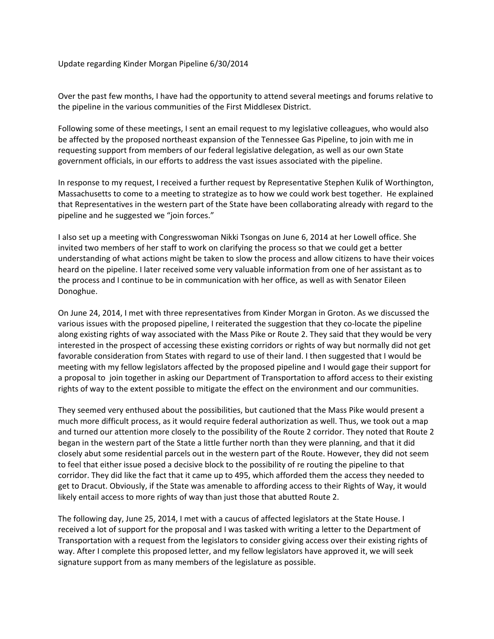Update regarding Kinder Morgan Pipeline 6/30/2014

Over the past few months, I have had the opportunity to attend several meetings and forums relative to the pipeline in the various communities of the First Middlesex District.

Following some of these meetings, I sent an email request to my legislative colleagues, who would also be affected by the proposed northeast expansion of the Tennessee Gas Pipeline, to join with me in requesting support from members of our federal legislative delegation, as well as our own State government officials, in our efforts to address the vast issues associated with the pipeline.

In response to my request, I received a further request by Representative Stephen Kulik of Worthington, Massachusetts to come to a meeting to strategize as to how we could work best together. He explained that Representatives in the western part of the State have been collaborating already with regard to the pipeline and he suggested we "join forces."

I also set up a meeting with Congresswoman Nikki Tsongas on June 6, 2014 at her Lowell office. She invited two members of her staff to work on clarifying the process so that we could get a better understanding of what actions might be taken to slow the process and allow citizens to have their voices heard on the pipeline. I later received some very valuable information from one of her assistant as to the process and I continue to be in communication with her office, as well as with Senator Eileen Donoghue.

On June 24, 2014, I met with three representatives from Kinder Morgan in Groton. As we discussed the various issues with the proposed pipeline, I reiterated the suggestion that they co‐locate the pipeline along existing rights of way associated with the Mass Pike or Route 2. They said that they would be very interested in the prospect of accessing these existing corridors or rights of way but normally did not get favorable consideration from States with regard to use of their land. I then suggested that I would be meeting with my fellow legislators affected by the proposed pipeline and I would gage their support for a proposal to join together in asking our Department of Transportation to afford access to their existing rights of way to the extent possible to mitigate the effect on the environment and our communities.

They seemed very enthused about the possibilities, but cautioned that the Mass Pike would present a much more difficult process, as it would require federal authorization as well. Thus, we took out a map and turned our attention more closely to the possibility of the Route 2 corridor. They noted that Route 2 began in the western part of the State a little further north than they were planning, and that it did closely abut some residential parcels out in the western part of the Route. However, they did not seem to feel that either issue posed a decisive block to the possibility of re routing the pipeline to that corridor. They did like the fact that it came up to 495, which afforded them the access they needed to get to Dracut. Obviously, if the State was amenable to affording access to their Rights of Way, it would likely entail access to more rights of way than just those that abutted Route 2.

The following day, June 25, 2014, I met with a caucus of affected legislators at the State House. I received a lot of support for the proposal and I was tasked with writing a letter to the Department of Transportation with a request from the legislators to consider giving access over their existing rights of way. After I complete this proposed letter, and my fellow legislators have approved it, we will seek signature support from as many members of the legislature as possible.